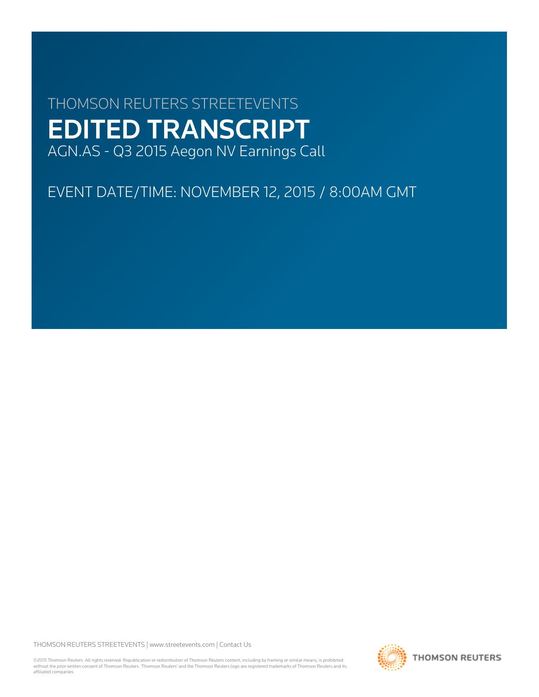# THOMSON REUTERS STREETEVENTS EDITED TRANSCRIPT AGN.AS - Q3 2015 Aegon NV Earnings Call

EVENT DATE/TIME: NOVEMBER 12, 2015 / 8:00AM GMT

THOMSON REUTERS STREETEVENTS | [www.streetevents.com](http://www.streetevents.com) | [Contact Us](http://www010.streetevents.com/contact.asp)

©2015 Thomson Reuters. All rights reserved. Republication or redistribution of Thomson Reuters content, including by framing or similar means, is prohibited without the prior written consent of Thomson Reuters. 'Thomson Reuters' and the Thomson Reuters logo are registered trademarks of Thomson Reuters and its affiliated companies.

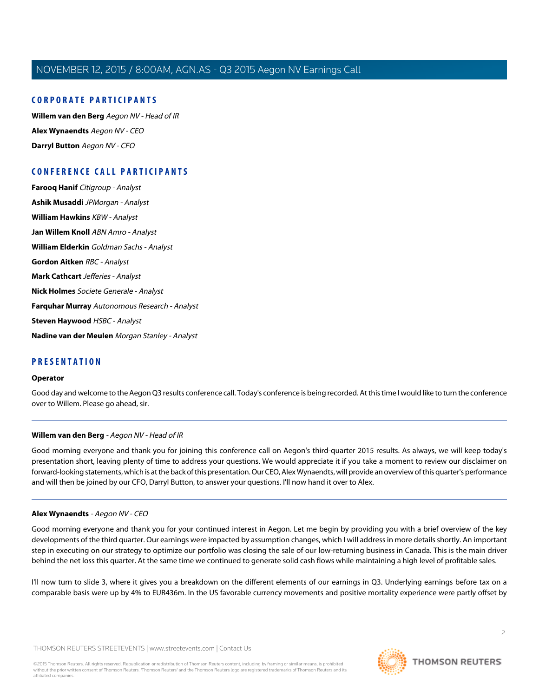# **CORPORATE PARTICIPANTS**

**[Willem van den Berg](#page-1-0)** Aegon NV - Head of IR **[Alex Wynaendts](#page-1-1)** Aegon NV - CEO **[Darryl Button](#page-3-0)** Aegon NV - CFO

# **CONFERENCE CALL PARTICIPANTS**

**[Farooq Hanif](#page-3-1)** Citigroup - Analyst **[Ashik Musaddi](#page-5-0)** JPMorgan - Analyst **[William Hawkins](#page-7-0)** KBW - Analyst **[Jan Willem Knoll](#page-8-0)** ABN Amro - Analyst **[William Elderkin](#page-9-0)** Goldman Sachs - Analyst **[Gordon Aitken](#page-10-0)** RBC - Analyst **[Mark Cathcart](#page-12-0)** Jefferies - Analyst **[Nick Holmes](#page-13-0)** Societe Generale - Analyst **[Farquhar Murray](#page-15-0)** Autonomous Research - Analyst **[Steven Haywood](#page-16-0)** HSBC - Analyst

**[Nadine van der Meulen](#page-17-0)** Morgan Stanley - Analyst

# **PRESENTATION**

#### **Operator**

<span id="page-1-0"></span>Good day and welcome to the Aegon Q3 results conference call. Today's conference is being recorded. At this time I would like to turn the conference over to Willem. Please go ahead, sir.

#### **Willem van den Berg** - Aegon NV - Head of IR

<span id="page-1-1"></span>Good morning everyone and thank you for joining this conference call on Aegon's third-quarter 2015 results. As always, we will keep today's presentation short, leaving plenty of time to address your questions. We would appreciate it if you take a moment to review our disclaimer on forward-looking statements, which is at the back of this presentation. Our CEO, Alex Wynaendts, will provide an overview of this quarter's performance and will then be joined by our CFO, Darryl Button, to answer your questions. I'll now hand it over to Alex.

#### **Alex Wynaendts** - Aegon NV - CEO

Good morning everyone and thank you for your continued interest in Aegon. Let me begin by providing you with a brief overview of the key developments of the third quarter. Our earnings were impacted by assumption changes, which I will address in more details shortly. An important step in executing on our strategy to optimize our portfolio was closing the sale of our low-returning business in Canada. This is the main driver behind the net loss this quarter. At the same time we continued to generate solid cash flows while maintaining a high level of profitable sales.

I'll now turn to slide 3, where it gives you a breakdown on the different elements of our earnings in Q3. Underlying earnings before tax on a comparable basis were up by 4% to EUR436m. In the US favorable currency movements and positive mortality experience were partly offset by

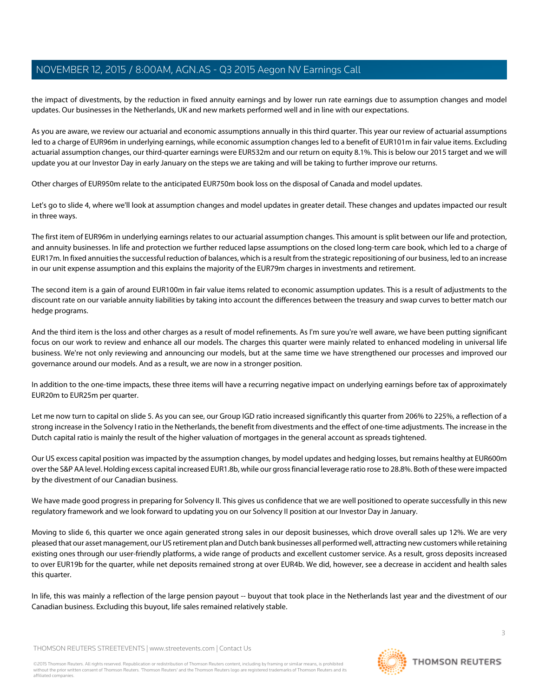the impact of divestments, by the reduction in fixed annuity earnings and by lower run rate earnings due to assumption changes and model updates. Our businesses in the Netherlands, UK and new markets performed well and in line with our expectations.

As you are aware, we review our actuarial and economic assumptions annually in this third quarter. This year our review of actuarial assumptions led to a charge of EUR96m in underlying earnings, while economic assumption changes led to a benefit of EUR101m in fair value items. Excluding actuarial assumption changes, our third-quarter earnings were EUR532m and our return on equity 8.1%. This is below our 2015 target and we will update you at our Investor Day in early January on the steps we are taking and will be taking to further improve our returns.

Other charges of EUR950m relate to the anticipated EUR750m book loss on the disposal of Canada and model updates.

Let's go to slide 4, where we'll look at assumption changes and model updates in greater detail. These changes and updates impacted our result in three ways.

The first item of EUR96m in underlying earnings relates to our actuarial assumption changes. This amount is split between our life and protection, and annuity businesses. In life and protection we further reduced lapse assumptions on the closed long-term care book, which led to a charge of EUR17m. In fixed annuities the successful reduction of balances, which is a result from the strategic repositioning of our business, led to an increase in our unit expense assumption and this explains the majority of the EUR79m charges in investments and retirement.

The second item is a gain of around EUR100m in fair value items related to economic assumption updates. This is a result of adjustments to the discount rate on our variable annuity liabilities by taking into account the differences between the treasury and swap curves to better match our hedge programs.

And the third item is the loss and other charges as a result of model refinements. As I'm sure you're well aware, we have been putting significant focus on our work to review and enhance all our models. The charges this quarter were mainly related to enhanced modeling in universal life business. We're not only reviewing and announcing our models, but at the same time we have strengthened our processes and improved our governance around our models. And as a result, we are now in a stronger position.

In addition to the one-time impacts, these three items will have a recurring negative impact on underlying earnings before tax of approximately EUR20m to EUR25m per quarter.

Let me now turn to capital on slide 5. As you can see, our Group IGD ratio increased significantly this quarter from 206% to 225%, a reflection of a strong increase in the Solvency I ratio in the Netherlands, the benefit from divestments and the effect of one-time adjustments. The increase in the Dutch capital ratio is mainly the result of the higher valuation of mortgages in the general account as spreads tightened.

Our US excess capital position was impacted by the assumption changes, by model updates and hedging losses, but remains healthy at EUR600m over the S&P AA level. Holding excess capital increased EUR1.8b, while our gross financial leverage ratio rose to 28.8%. Both of these were impacted by the divestment of our Canadian business.

We have made good progress in preparing for Solvency II. This gives us confidence that we are well positioned to operate successfully in this new regulatory framework and we look forward to updating you on our Solvency II position at our Investor Day in January.

Moving to slide 6, this quarter we once again generated strong sales in our deposit businesses, which drove overall sales up 12%. We are very pleased that our asset management, our US retirement plan and Dutch bank businesses all performed well, attracting new customers while retaining existing ones through our user-friendly platforms, a wide range of products and excellent customer service. As a result, gross deposits increased to over EUR19b for the quarter, while net deposits remained strong at over EUR4b. We did, however, see a decrease in accident and health sales this quarter.

In life, this was mainly a reflection of the large pension payout -- buyout that took place in the Netherlands last year and the divestment of our Canadian business. Excluding this buyout, life sales remained relatively stable.

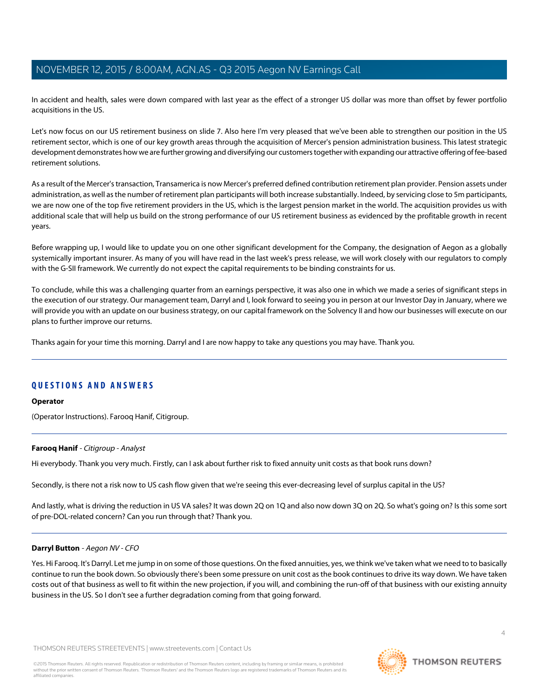In accident and health, sales were down compared with last year as the effect of a stronger US dollar was more than offset by fewer portfolio acquisitions in the US.

Let's now focus on our US retirement business on slide 7. Also here I'm very pleased that we've been able to strengthen our position in the US retirement sector, which is one of our key growth areas through the acquisition of Mercer's pension administration business. This latest strategic development demonstrates how we are further growing and diversifying our customers together with expanding our attractive offering of fee-based retirement solutions.

As a result of the Mercer's transaction, Transamerica is now Mercer's preferred defined contribution retirement plan provider. Pension assets under administration, as well as the number of retirement plan participants will both increase substantially. Indeed, by servicing close to 5m participants, we are now one of the top five retirement providers in the US, which is the largest pension market in the world. The acquisition provides us with additional scale that will help us build on the strong performance of our US retirement business as evidenced by the profitable growth in recent years.

Before wrapping up, I would like to update you on one other significant development for the Company, the designation of Aegon as a globally systemically important insurer. As many of you will have read in the last week's press release, we will work closely with our regulators to comply with the G-SII framework. We currently do not expect the capital requirements to be binding constraints for us.

To conclude, while this was a challenging quarter from an earnings perspective, it was also one in which we made a series of significant steps in the execution of our strategy. Our management team, Darryl and I, look forward to seeing you in person at our Investor Day in January, where we will provide you with an update on our business strategy, on our capital framework on the Solvency II and how our businesses will execute on our plans to further improve our returns.

Thanks again for your time this morning. Darryl and I are now happy to take any questions you may have. Thank you.

# **QUESTIONS AND ANSWERS**

#### <span id="page-3-1"></span>**Operator**

(Operator Instructions). Farooq Hanif, Citigroup.

#### **Farooq Hanif** - Citigroup - Analyst

Hi everybody. Thank you very much. Firstly, can I ask about further risk to fixed annuity unit costs as that book runs down?

<span id="page-3-0"></span>Secondly, is there not a risk now to US cash flow given that we're seeing this ever-decreasing level of surplus capital in the US?

And lastly, what is driving the reduction in US VA sales? It was down 2Q on 1Q and also now down 3Q on 2Q. So what's going on? Is this some sort of pre-DOL-related concern? Can you run through that? Thank you.

#### **Darryl Button** - Aegon NV - CFO

Yes. Hi Farooq. It's Darryl. Let me jump in on some of those questions. On the fixed annuities, yes, we think we've taken what we need to to basically continue to run the book down. So obviously there's been some pressure on unit cost as the book continues to drive its way down. We have taken costs out of that business as well to fit within the new projection, if you will, and combining the run-off of that business with our existing annuity business in the US. So I don't see a further degradation coming from that going forward.

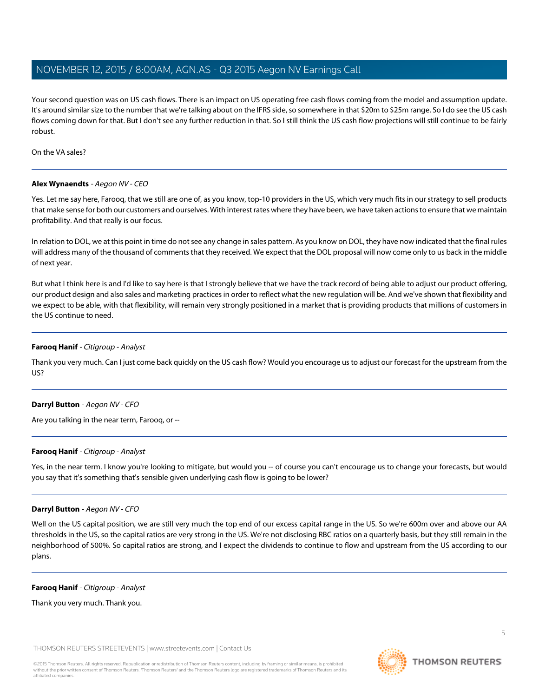Your second question was on US cash flows. There is an impact on US operating free cash flows coming from the model and assumption update. It's around similar size to the number that we're talking about on the IFRS side, so somewhere in that \$20m to \$25m range. So I do see the US cash flows coming down for that. But I don't see any further reduction in that. So I still think the US cash flow projections will still continue to be fairly robust.

On the VA sales?

### **Alex Wynaendts** - Aegon NV - CEO

Yes. Let me say here, Farooq, that we still are one of, as you know, top-10 providers in the US, which very much fits in our strategy to sell products that make sense for both our customers and ourselves. With interest rates where they have been, we have taken actions to ensure that we maintain profitability. And that really is our focus.

In relation to DOL, we at this point in time do not see any change in sales pattern. As you know on DOL, they have now indicated that the final rules will address many of the thousand of comments that they received. We expect that the DOL proposal will now come only to us back in the middle of next year.

But what I think here is and I'd like to say here is that I strongly believe that we have the track record of being able to adjust our product offering, our product design and also sales and marketing practices in order to reflect what the new regulation will be. And we've shown that flexibility and we expect to be able, with that flexibility, will remain very strongly positioned in a market that is providing products that millions of customers in the US continue to need.

### **Farooq Hanif** - Citigroup - Analyst

Thank you very much. Can I just come back quickly on the US cash flow? Would you encourage us to adjust our forecast for the upstream from the US?

#### **Darryl Button** - Aegon NV - CFO

Are you talking in the near term, Farooq, or --

#### **Farooq Hanif** - Citigroup - Analyst

Yes, in the near term. I know you're looking to mitigate, but would you -- of course you can't encourage us to change your forecasts, but would you say that it's something that's sensible given underlying cash flow is going to be lower?

## **Darryl Button** - Aegon NV - CFO

Well on the US capital position, we are still very much the top end of our excess capital range in the US. So we're 600m over and above our AA thresholds in the US, so the capital ratios are very strong in the US. We're not disclosing RBC ratios on a quarterly basis, but they still remain in the neighborhood of 500%. So capital ratios are strong, and I expect the dividends to continue to flow and upstream from the US according to our plans.

#### **Farooq Hanif** - Citigroup - Analyst

Thank you very much. Thank you.

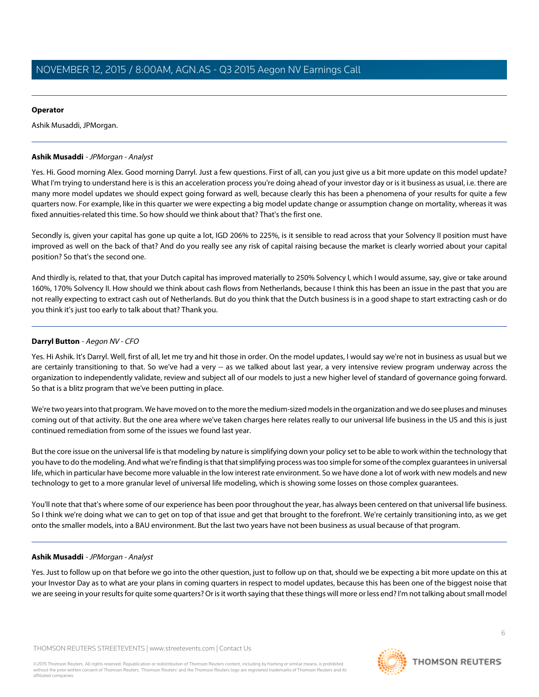## **Operator**

Ashik Musaddi, JPMorgan.

## <span id="page-5-0"></span>**Ashik Musaddi** - JPMorgan - Analyst

Yes. Hi. Good morning Alex. Good morning Darryl. Just a few questions. First of all, can you just give us a bit more update on this model update? What I'm trying to understand here is is this an acceleration process you're doing ahead of your investor day or is it business as usual, i.e. there are many more model updates we should expect going forward as well, because clearly this has been a phenomena of your results for quite a few quarters now. For example, like in this quarter we were expecting a big model update change or assumption change on mortality, whereas it was fixed annuities-related this time. So how should we think about that? That's the first one.

Secondly is, given your capital has gone up quite a lot, IGD 206% to 225%, is it sensible to read across that your Solvency II position must have improved as well on the back of that? And do you really see any risk of capital raising because the market is clearly worried about your capital position? So that's the second one.

And thirdly is, related to that, that your Dutch capital has improved materially to 250% Solvency I, which I would assume, say, give or take around 160%, 170% Solvency II. How should we think about cash flows from Netherlands, because I think this has been an issue in the past that you are not really expecting to extract cash out of Netherlands. But do you think that the Dutch business is in a good shape to start extracting cash or do you think it's just too early to talk about that? Thank you.

# **Darryl Button** - Aegon NV - CFO

Yes. Hi Ashik. It's Darryl. Well, first of all, let me try and hit those in order. On the model updates, I would say we're not in business as usual but we are certainly transitioning to that. So we've had a very -- as we talked about last year, a very intensive review program underway across the organization to independently validate, review and subject all of our models to just a new higher level of standard of governance going forward. So that is a blitz program that we've been putting in place.

We're two years into that program. We have moved on to the more the medium-sized models in the organization and we do see pluses and minuses coming out of that activity. But the one area where we've taken charges here relates really to our universal life business in the US and this is just continued remediation from some of the issues we found last year.

But the core issue on the universal life is that modeling by nature is simplifying down your policy set to be able to work within the technology that you have to do the modeling. And what we're finding is that that simplifying process was too simple for some of the complex guarantees in universal life, which in particular have become more valuable in the low interest rate environment. So we have done a lot of work with new models and new technology to get to a more granular level of universal life modeling, which is showing some losses on those complex guarantees.

You'll note that that's where some of our experience has been poor throughout the year, has always been centered on that universal life business. So I think we're doing what we can to get on top of that issue and get that brought to the forefront. We're certainly transitioning into, as we get onto the smaller models, into a BAU environment. But the last two years have not been business as usual because of that program.

# **Ashik Musaddi** - JPMorgan - Analyst

Yes. Just to follow up on that before we go into the other question, just to follow up on that, should we be expecting a bit more update on this at your Investor Day as to what are your plans in coming quarters in respect to model updates, because this has been one of the biggest noise that we are seeing in your results for quite some quarters? Or is it worth saying that these things will more or less end? I'm not talking about small model

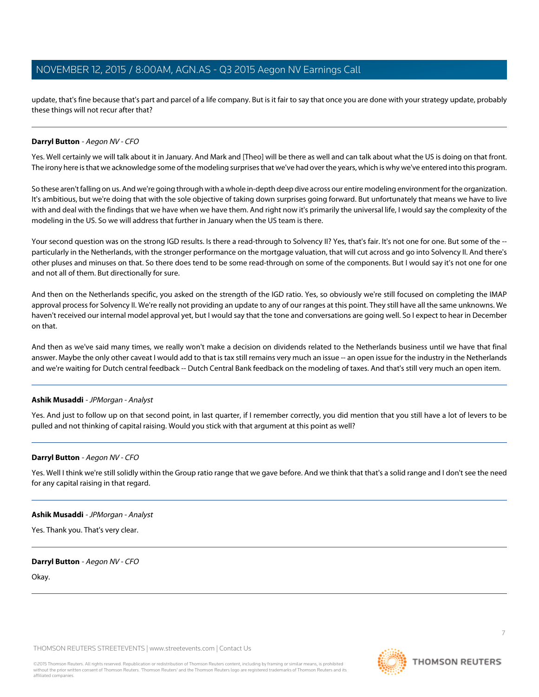update, that's fine because that's part and parcel of a life company. But is it fair to say that once you are done with your strategy update, probably these things will not recur after that?

### **Darryl Button** - Aegon NV - CFO

Yes. Well certainly we will talk about it in January. And Mark and [Theo] will be there as well and can talk about what the US is doing on that front. The irony here is that we acknowledge some of the modeling surprises that we've had over the years, which is why we've entered into this program.

So these aren't falling on us. And we're going through with a whole in-depth deep dive across our entire modeling environment for the organization. It's ambitious, but we're doing that with the sole objective of taking down surprises going forward. But unfortunately that means we have to live with and deal with the findings that we have when we have them. And right now it's primarily the universal life, I would say the complexity of the modeling in the US. So we will address that further in January when the US team is there.

Your second question was on the strong IGD results. Is there a read-through to Solvency II? Yes, that's fair. It's not one for one. But some of the -particularly in the Netherlands, with the stronger performance on the mortgage valuation, that will cut across and go into Solvency II. And there's other pluses and minuses on that. So there does tend to be some read-through on some of the components. But I would say it's not one for one and not all of them. But directionally for sure.

And then on the Netherlands specific, you asked on the strength of the IGD ratio. Yes, so obviously we're still focused on completing the IMAP approval process for Solvency II. We're really not providing an update to any of our ranges at this point. They still have all the same unknowns. We haven't received our internal model approval yet, but I would say that the tone and conversations are going well. So I expect to hear in December on that.

And then as we've said many times, we really won't make a decision on dividends related to the Netherlands business until we have that final answer. Maybe the only other caveat I would add to that is tax still remains very much an issue -- an open issue for the industry in the Netherlands and we're waiting for Dutch central feedback -- Dutch Central Bank feedback on the modeling of taxes. And that's still very much an open item.

#### **Ashik Musaddi** - JPMorgan - Analyst

Yes. And just to follow up on that second point, in last quarter, if I remember correctly, you did mention that you still have a lot of levers to be pulled and not thinking of capital raising. Would you stick with that argument at this point as well?

#### **Darryl Button** - Aegon NV - CFO

Yes. Well I think we're still solidly within the Group ratio range that we gave before. And we think that that's a solid range and I don't see the need for any capital raising in that regard.

#### **Ashik Musaddi** - JPMorgan - Analyst

Yes. Thank you. That's very clear.

#### **Darryl Button** - Aegon NV - CFO

Okay.

THOMSON REUTERS STREETEVENTS | [www.streetevents.com](http://www.streetevents.com) | [Contact Us](http://www010.streetevents.com/contact.asp)

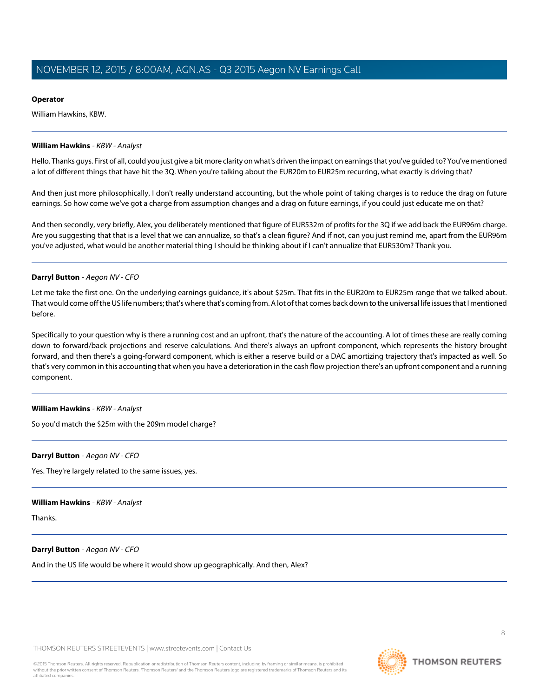## **Operator**

William Hawkins, KBW.

#### <span id="page-7-0"></span>**William Hawkins** - KBW - Analyst

Hello. Thanks guys. First of all, could you just give a bit more clarity on what's driven the impact on earnings that you've guided to? You've mentioned a lot of different things that have hit the 3Q. When you're talking about the EUR20m to EUR25m recurring, what exactly is driving that?

And then just more philosophically, I don't really understand accounting, but the whole point of taking charges is to reduce the drag on future earnings. So how come we've got a charge from assumption changes and a drag on future earnings, if you could just educate me on that?

And then secondly, very briefly, Alex, you deliberately mentioned that figure of EUR532m of profits for the 3Q if we add back the EUR96m charge. Are you suggesting that that is a level that we can annualize, so that's a clean figure? And if not, can you just remind me, apart from the EUR96m you've adjusted, what would be another material thing I should be thinking about if I can't annualize that EUR530m? Thank you.

### **Darryl Button** - Aegon NV - CFO

Let me take the first one. On the underlying earnings guidance, it's about \$25m. That fits in the EUR20m to EUR25m range that we talked about. That would come off the US life numbers; that's where that's coming from. A lot of that comes back down to the universal life issues that I mentioned before.

Specifically to your question why is there a running cost and an upfront, that's the nature of the accounting. A lot of times these are really coming down to forward/back projections and reserve calculations. And there's always an upfront component, which represents the history brought forward, and then there's a going-forward component, which is either a reserve build or a DAC amortizing trajectory that's impacted as well. So that's very common in this accounting that when you have a deterioration in the cash flow projection there's an upfront component and a running component.

#### **William Hawkins** - KBW - Analyst

So you'd match the \$25m with the 209m model charge?

#### **Darryl Button** - Aegon NV - CFO

Yes. They're largely related to the same issues, yes.

#### **William Hawkins** - KBW - Analyst

Thanks.

# **Darryl Button** - Aegon NV - CFO

And in the US life would be where it would show up geographically. And then, Alex?

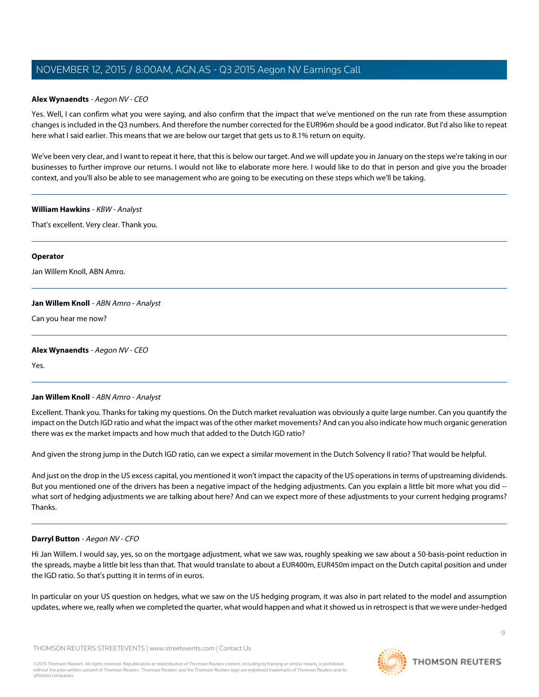## **Alex Wynaendts** - Aegon NV - CEO

Yes. Well, I can confirm what you were saying, and also confirm that the impact that we've mentioned on the run rate from these assumption changes is included in the Q3 numbers. And therefore the number corrected for the EUR96m should be a good indicator. But I'd also like to repeat here what I said earlier. This means that we are below our target that gets us to 8.1% return on equity.

We've been very clear, and I want to repeat it here, that this is below our target. And we will update you in January on the steps we're taking in our businesses to further improve our returns. I would not like to elaborate more here. I would like to do that in person and give you the broader context, and you'll also be able to see management who are going to be executing on these steps which we'll be taking.

#### **William Hawkins** - KBW - Analyst

That's excellent. Very clear. Thank you.

#### **Operator**

<span id="page-8-0"></span>Jan Willem Knoll, ABN Amro.

#### **Jan Willem Knoll** - ABN Amro - Analyst

Can you hear me now?

#### **Alex Wynaendts** - Aegon NV - CEO

Yes.

#### **Jan Willem Knoll** - ABN Amro - Analyst

Excellent. Thank you. Thanks for taking my questions. On the Dutch market revaluation was obviously a quite large number. Can you quantify the impact on the Dutch IGD ratio and what the impact was of the other market movements? And can you also indicate how much organic generation there was ex the market impacts and how much that added to the Dutch IGD ratio?

And given the strong jump in the Dutch IGD ratio, can we expect a similar movement in the Dutch Solvency II ratio? That would be helpful.

And just on the drop in the US excess capital, you mentioned it won't impact the capacity of the US operations in terms of upstreaming dividends. But you mentioned one of the drivers has been a negative impact of the hedging adjustments. Can you explain a little bit more what you did - what sort of hedging adjustments we are talking about here? And can we expect more of these adjustments to your current hedging programs? Thanks.

#### **Darryl Button** - Aegon NV - CFO

Hi Jan Willem. I would say, yes, so on the mortgage adjustment, what we saw was, roughly speaking we saw about a 50-basis-point reduction in the spreads, maybe a little bit less than that. That would translate to about a EUR400m, EUR450m impact on the Dutch capital position and under the IGD ratio. So that's putting it in terms of in euros.

In particular on your US question on hedges, what we saw on the US hedging program, it was also in part related to the model and assumption updates, where we, really when we completed the quarter, what would happen and what it showed us in retrospect is that we were under-hedged

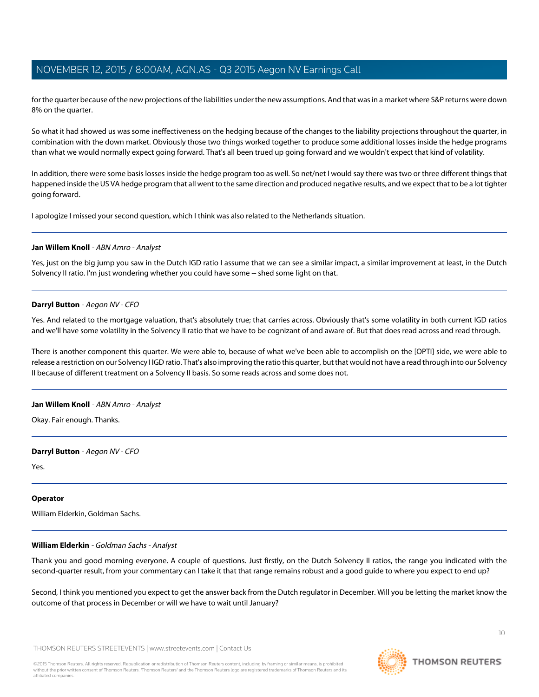for the quarter because of the new projections of the liabilities under the new assumptions. And that was in a market where S&P returns were down 8% on the quarter.

So what it had showed us was some ineffectiveness on the hedging because of the changes to the liability projections throughout the quarter, in combination with the down market. Obviously those two things worked together to produce some additional losses inside the hedge programs than what we would normally expect going forward. That's all been trued up going forward and we wouldn't expect that kind of volatility.

In addition, there were some basis losses inside the hedge program too as well. So net/net I would say there was two or three different things that happened inside the US VA hedge program that all went to the same direction and produced negative results, and we expect that to be a lot tighter going forward.

I apologize I missed your second question, which I think was also related to the Netherlands situation.

### **Jan Willem Knoll** - ABN Amro - Analyst

Yes, just on the big jump you saw in the Dutch IGD ratio I assume that we can see a similar impact, a similar improvement at least, in the Dutch Solvency II ratio. I'm just wondering whether you could have some -- shed some light on that.

### **Darryl Button** - Aegon NV - CFO

Yes. And related to the mortgage valuation, that's absolutely true; that carries across. Obviously that's some volatility in both current IGD ratios and we'll have some volatility in the Solvency II ratio that we have to be cognizant of and aware of. But that does read across and read through.

There is another component this quarter. We were able to, because of what we've been able to accomplish on the [OPTI] side, we were able to release a restriction on our Solvency I IGD ratio. That's also improving the ratio this quarter, but that would not have a read through into our Solvency II because of different treatment on a Solvency II basis. So some reads across and some does not.

#### **Jan Willem Knoll** - ABN Amro - Analyst

Okay. Fair enough. Thanks.

#### **Darryl Button** - Aegon NV - CFO

Yes.

#### <span id="page-9-0"></span>**Operator**

William Elderkin, Goldman Sachs.

# **William Elderkin** - Goldman Sachs - Analyst

Thank you and good morning everyone. A couple of questions. Just firstly, on the Dutch Solvency II ratios, the range you indicated with the second-quarter result, from your commentary can I take it that that range remains robust and a good guide to where you expect to end up?

Second, I think you mentioned you expect to get the answer back from the Dutch regulator in December. Will you be letting the market know the outcome of that process in December or will we have to wait until January?

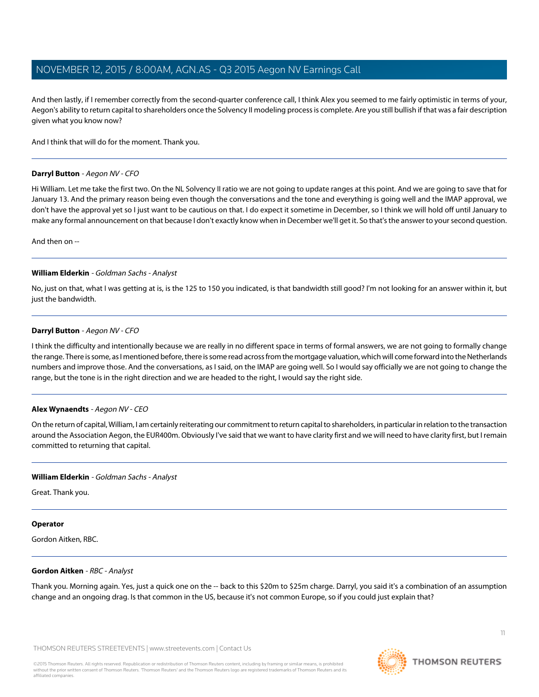And then lastly, if I remember correctly from the second-quarter conference call, I think Alex you seemed to me fairly optimistic in terms of your, Aegon's ability to return capital to shareholders once the Solvency II modeling process is complete. Are you still bullish if that was a fair description given what you know now?

And I think that will do for the moment. Thank you.

### **Darryl Button** - Aegon NV - CFO

Hi William. Let me take the first two. On the NL Solvency II ratio we are not going to update ranges at this point. And we are going to save that for January 13. And the primary reason being even though the conversations and the tone and everything is going well and the IMAP approval, we don't have the approval yet so I just want to be cautious on that. I do expect it sometime in December, so I think we will hold off until January to make any formal announcement on that because I don't exactly know when in December we'll get it. So that's the answer to your second question.

And then on --

### **William Elderkin** - Goldman Sachs - Analyst

No, just on that, what I was getting at is, is the 125 to 150 you indicated, is that bandwidth still good? I'm not looking for an answer within it, but just the bandwidth.

### **Darryl Button** - Aegon NV - CFO

I think the difficulty and intentionally because we are really in no different space in terms of formal answers, we are not going to formally change the range. There is some, as I mentioned before, there is some read across from the mortgage valuation, which will come forward into the Netherlands numbers and improve those. And the conversations, as I said, on the IMAP are going well. So I would say officially we are not going to change the range, but the tone is in the right direction and we are headed to the right, I would say the right side.

#### **Alex Wynaendts** - Aegon NV - CEO

On the return of capital, William, I am certainly reiterating our commitment to return capital to shareholders, in particular in relation to the transaction around the Association Aegon, the EUR400m. Obviously I've said that we want to have clarity first and we will need to have clarity first, but I remain committed to returning that capital.

# **William Elderkin** - Goldman Sachs - Analyst

Great. Thank you.

#### <span id="page-10-0"></span>**Operator**

Gordon Aitken, RBC.

#### **Gordon Aitken** - RBC - Analyst

Thank you. Morning again. Yes, just a quick one on the -- back to this \$20m to \$25m charge. Darryl, you said it's a combination of an assumption change and an ongoing drag. Is that common in the US, because it's not common Europe, so if you could just explain that?

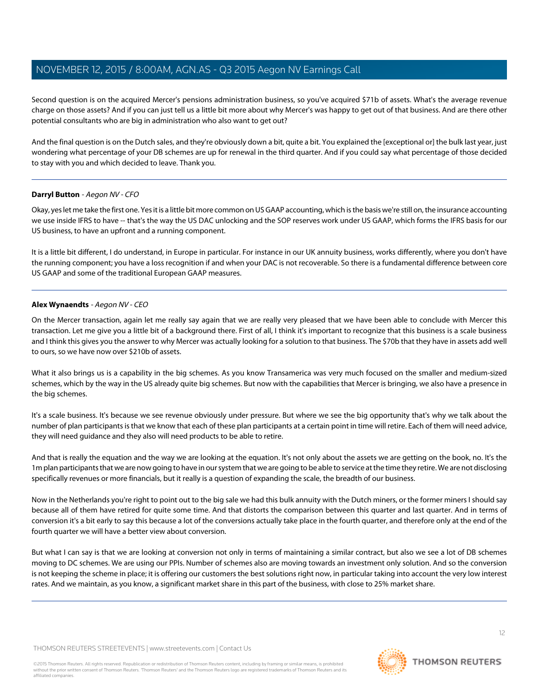Second question is on the acquired Mercer's pensions administration business, so you've acquired \$71b of assets. What's the average revenue charge on those assets? And if you can just tell us a little bit more about why Mercer's was happy to get out of that business. And are there other potential consultants who are big in administration who also want to get out?

And the final question is on the Dutch sales, and they're obviously down a bit, quite a bit. You explained the [exceptional or] the bulk last year, just wondering what percentage of your DB schemes are up for renewal in the third quarter. And if you could say what percentage of those decided to stay with you and which decided to leave. Thank you.

### **Darryl Button** - Aegon NV - CFO

Okay, yes let me take the first one. Yes it is a little bit more common on US GAAP accounting, which is the basis we're still on, the insurance accounting we use inside IFRS to have -- that's the way the US DAC unlocking and the SOP reserves work under US GAAP, which forms the IFRS basis for our US business, to have an upfront and a running component.

It is a little bit different, I do understand, in Europe in particular. For instance in our UK annuity business, works differently, where you don't have the running component; you have a loss recognition if and when your DAC is not recoverable. So there is a fundamental difference between core US GAAP and some of the traditional European GAAP measures.

### **Alex Wynaendts** - Aegon NV - CEO

On the Mercer transaction, again let me really say again that we are really very pleased that we have been able to conclude with Mercer this transaction. Let me give you a little bit of a background there. First of all, I think it's important to recognize that this business is a scale business and I think this gives you the answer to why Mercer was actually looking for a solution to that business. The \$70b that they have in assets add well to ours, so we have now over \$210b of assets.

What it also brings us is a capability in the big schemes. As you know Transamerica was very much focused on the smaller and medium-sized schemes, which by the way in the US already quite big schemes. But now with the capabilities that Mercer is bringing, we also have a presence in the big schemes.

It's a scale business. It's because we see revenue obviously under pressure. But where we see the big opportunity that's why we talk about the number of plan participants is that we know that each of these plan participants at a certain point in time will retire. Each of them will need advice, they will need guidance and they also will need products to be able to retire.

And that is really the equation and the way we are looking at the equation. It's not only about the assets we are getting on the book, no. It's the 1m plan participants that we are now going to have in our system that we are going to be able to service at the time they retire. We are not disclosing specifically revenues or more financials, but it really is a question of expanding the scale, the breadth of our business.

Now in the Netherlands you're right to point out to the big sale we had this bulk annuity with the Dutch miners, or the former miners I should say because all of them have retired for quite some time. And that distorts the comparison between this quarter and last quarter. And in terms of conversion it's a bit early to say this because a lot of the conversions actually take place in the fourth quarter, and therefore only at the end of the fourth quarter we will have a better view about conversion.

But what I can say is that we are looking at conversion not only in terms of maintaining a similar contract, but also we see a lot of DB schemes moving to DC schemes. We are using our PPIs. Number of schemes also are moving towards an investment only solution. And so the conversion is not keeping the scheme in place; it is offering our customers the best solutions right now, in particular taking into account the very low interest rates. And we maintain, as you know, a significant market share in this part of the business, with close to 25% market share.

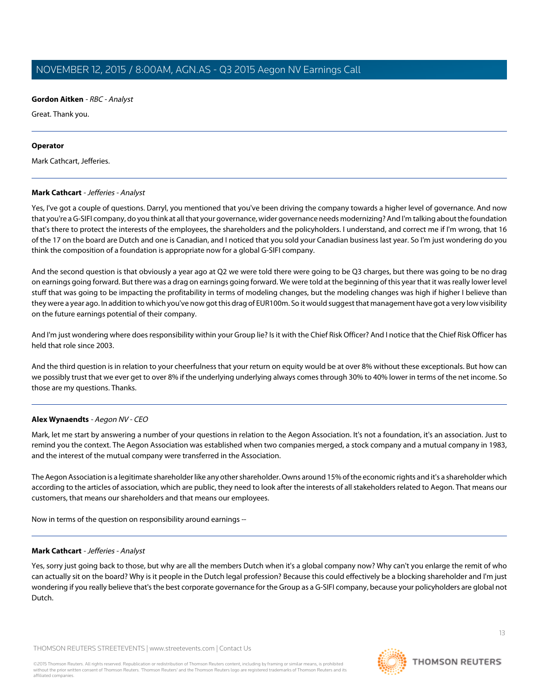## **Gordon Aitken** - RBC - Analyst

Great. Thank you.

#### **Operator**

<span id="page-12-0"></span>Mark Cathcart, Jefferies.

### **Mark Cathcart** - Jefferies - Analyst

Yes, I've got a couple of questions. Darryl, you mentioned that you've been driving the company towards a higher level of governance. And now that you're a G-SIFI company, do you think at all that your governance, wider governance needs modernizing? And I'm talking about the foundation that's there to protect the interests of the employees, the shareholders and the policyholders. I understand, and correct me if I'm wrong, that 16 of the 17 on the board are Dutch and one is Canadian, and I noticed that you sold your Canadian business last year. So I'm just wondering do you think the composition of a foundation is appropriate now for a global G-SIFI company.

And the second question is that obviously a year ago at Q2 we were told there were going to be Q3 charges, but there was going to be no drag on earnings going forward. But there was a drag on earnings going forward. We were told at the beginning of this year that it was really lower level stuff that was going to be impacting the profitability in terms of modeling changes, but the modeling changes was high if higher I believe than they were a year ago. In addition to which you've now got this drag of EUR100m. So it would suggest that management have got a very low visibility on the future earnings potential of their company.

And I'm just wondering where does responsibility within your Group lie? Is it with the Chief Risk Officer? And I notice that the Chief Risk Officer has held that role since 2003.

And the third question is in relation to your cheerfulness that your return on equity would be at over 8% without these exceptionals. But how can we possibly trust that we ever get to over 8% if the underlying underlying always comes through 30% to 40% lower in terms of the net income. So those are my questions. Thanks.

# **Alex Wynaendts** - Aegon NV - CEO

Mark, let me start by answering a number of your questions in relation to the Aegon Association. It's not a foundation, it's an association. Just to remind you the context. The Aegon Association was established when two companies merged, a stock company and a mutual company in 1983, and the interest of the mutual company were transferred in the Association.

The Aegon Association is a legitimate shareholder like any other shareholder. Owns around 15% of the economic rights and it's a shareholder which according to the articles of association, which are public, they need to look after the interests of all stakeholders related to Aegon. That means our customers, that means our shareholders and that means our employees.

Now in terms of the question on responsibility around earnings --

# **Mark Cathcart** - Jefferies - Analyst

Yes, sorry just going back to those, but why are all the members Dutch when it's a global company now? Why can't you enlarge the remit of who can actually sit on the board? Why is it people in the Dutch legal profession? Because this could effectively be a blocking shareholder and I'm just wondering if you really believe that's the best corporate governance for the Group as a G-SIFI company, because your policyholders are global not Dutch.

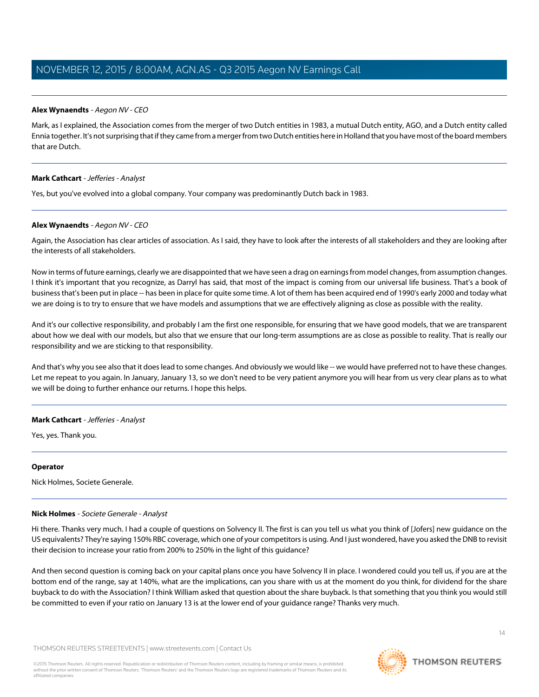# **Alex Wynaendts** - Aegon NV - CEO

Mark, as I explained, the Association comes from the merger of two Dutch entities in 1983, a mutual Dutch entity, AGO, and a Dutch entity called Ennia together. It's not surprising that if they came from a merger from two Dutch entities here in Holland that you have most of the board members that are Dutch.

# **Mark Cathcart** - Jefferies - Analyst

Yes, but you've evolved into a global company. Your company was predominantly Dutch back in 1983.

# **Alex Wynaendts** - Aegon NV - CEO

Again, the Association has clear articles of association. As I said, they have to look after the interests of all stakeholders and they are looking after the interests of all stakeholders.

Now in terms of future earnings, clearly we are disappointed that we have seen a drag on earnings from model changes, from assumption changes. I think it's important that you recognize, as Darryl has said, that most of the impact is coming from our universal life business. That's a book of business that's been put in place -- has been in place for quite some time. A lot of them has been acquired end of 1990's early 2000 and today what we are doing is to try to ensure that we have models and assumptions that we are effectively aligning as close as possible with the reality.

And it's our collective responsibility, and probably I am the first one responsible, for ensuring that we have good models, that we are transparent about how we deal with our models, but also that we ensure that our long-term assumptions are as close as possible to reality. That is really our responsibility and we are sticking to that responsibility.

And that's why you see also that it does lead to some changes. And obviously we would like -- we would have preferred not to have these changes. Let me repeat to you again. In January, January 13, so we don't need to be very patient anymore you will hear from us very clear plans as to what we will be doing to further enhance our returns. I hope this helps.

# **Mark Cathcart** - Jefferies - Analyst

Yes, yes. Thank you.

# <span id="page-13-0"></span>**Operator**

Nick Holmes, Societe Generale.

# **Nick Holmes** - Societe Generale - Analyst

Hi there. Thanks very much. I had a couple of questions on Solvency II. The first is can you tell us what you think of [Jofers] new guidance on the US equivalents? They're saying 150% RBC coverage, which one of your competitors is using. And I just wondered, have you asked the DNB to revisit their decision to increase your ratio from 200% to 250% in the light of this guidance?

And then second question is coming back on your capital plans once you have Solvency II in place. I wondered could you tell us, if you are at the bottom end of the range, say at 140%, what are the implications, can you share with us at the moment do you think, for dividend for the share buyback to do with the Association? I think William asked that question about the share buyback. Is that something that you think you would still be committed to even if your ratio on January 13 is at the lower end of your guidance range? Thanks very much.

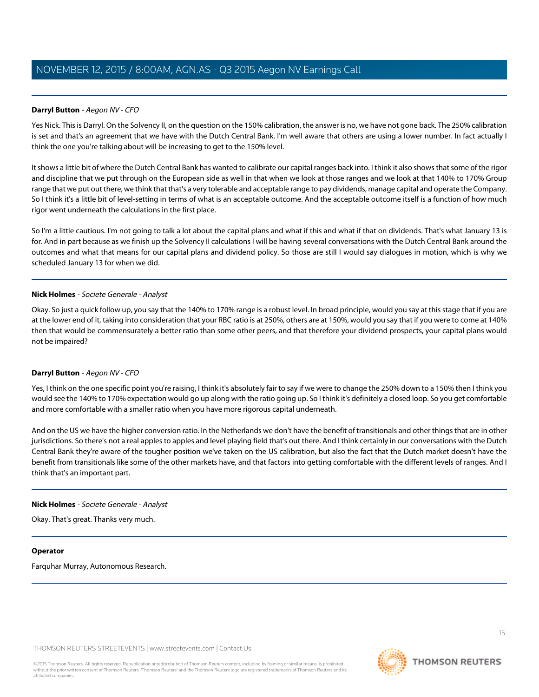# **Darryl Button** - Aegon NV - CFO

Yes Nick. This is Darryl. On the Solvency II, on the question on the 150% calibration, the answer is no, we have not gone back. The 250% calibration is set and that's an agreement that we have with the Dutch Central Bank. I'm well aware that others are using a lower number. In fact actually I think the one you're talking about will be increasing to get to the 150% level.

It shows a little bit of where the Dutch Central Bank has wanted to calibrate our capital ranges back into. I think it also shows that some of the rigor and discipline that we put through on the European side as well in that when we look at those ranges and we look at that 140% to 170% Group range that we put out there, we think that that's a very tolerable and acceptable range to pay dividends, manage capital and operate the Company. So I think it's a little bit of level-setting in terms of what is an acceptable outcome. And the acceptable outcome itself is a function of how much rigor went underneath the calculations in the first place.

So I'm a little cautious. I'm not going to talk a lot about the capital plans and what if this and what if that on dividends. That's what January 13 is for. And in part because as we finish up the Solvency II calculations I will be having several conversations with the Dutch Central Bank around the outcomes and what that means for our capital plans and dividend policy. So those are still I would say dialogues in motion, which is why we scheduled January 13 for when we did.

#### **Nick Holmes** - Societe Generale - Analyst

Okay. So just a quick follow up, you say that the 140% to 170% range is a robust level. In broad principle, would you say at this stage that if you are at the lower end of it, taking into consideration that your RBC ratio is at 250%, others are at 150%, would you say that if you were to come at 140% then that would be commensurately a better ratio than some other peers, and that therefore your dividend prospects, your capital plans would not be impaired?

# **Darryl Button** - Aegon NV - CFO

Yes, I think on the one specific point you're raising, I think it's absolutely fair to say if we were to change the 250% down to a 150% then I think you would see the 140% to 170% expectation would go up along with the ratio going up. So I think it's definitely a closed loop. So you get comfortable and more comfortable with a smaller ratio when you have more rigorous capital underneath.

And on the US we have the higher conversion ratio. In the Netherlands we don't have the benefit of transitionals and other things that are in other jurisdictions. So there's not a real apples to apples and level playing field that's out there. And I think certainly in our conversations with the Dutch Central Bank they're aware of the tougher position we've taken on the US calibration, but also the fact that the Dutch market doesn't have the benefit from transitionals like some of the other markets have, and that factors into getting comfortable with the different levels of ranges. And I think that's an important part.

# **Nick Holmes** - Societe Generale - Analyst

Okay. That's great. Thanks very much.

# **Operator**

Farquhar Murray, Autonomous Research.

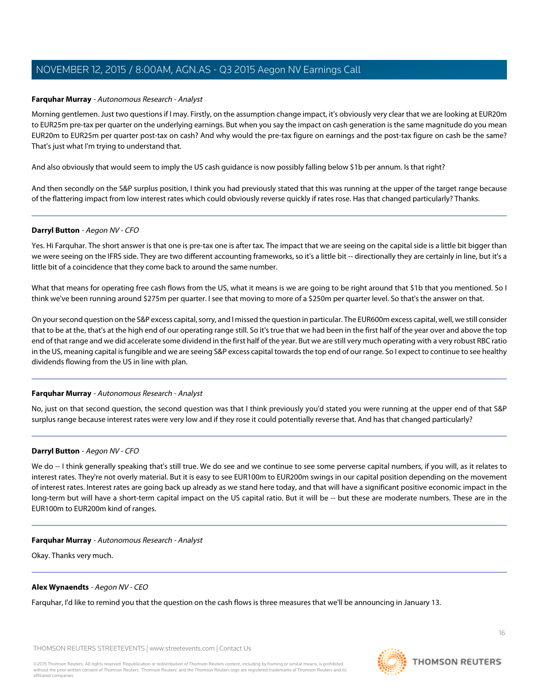### <span id="page-15-0"></span>**Farquhar Murray** - Autonomous Research - Analyst

Morning gentlemen. Just two questions if I may. Firstly, on the assumption change impact, it's obviously very clear that we are looking at EUR20m to EUR25m pre-tax per quarter on the underlying earnings. But when you say the impact on cash generation is the same magnitude do you mean EUR20m to EUR25m per quarter post-tax on cash? And why would the pre-tax figure on earnings and the post-tax figure on cash be the same? That's just what I'm trying to understand that.

And also obviously that would seem to imply the US cash guidance is now possibly falling below \$1b per annum. Is that right?

And then secondly on the S&P surplus position, I think you had previously stated that this was running at the upper of the target range because of the flattering impact from low interest rates which could obviously reverse quickly if rates rose. Has that changed particularly? Thanks.

#### **Darryl Button** - Aegon NV - CFO

Yes. Hi Farquhar. The short answer is that one is pre-tax one is after tax. The impact that we are seeing on the capital side is a little bit bigger than we were seeing on the IFRS side. They are two different accounting frameworks, so it's a little bit -- directionally they are certainly in line, but it's a little bit of a coincidence that they come back to around the same number.

What that means for operating free cash flows from the US, what it means is we are going to be right around that \$1b that you mentioned. So I think we've been running around \$275m per quarter. I see that moving to more of a \$250m per quarter level. So that's the answer on that.

On your second question on the S&P excess capital, sorry, and I missed the question in particular. The EUR600m excess capital, well, we still consider that to be at the, that's at the high end of our operating range still. So it's true that we had been in the first half of the year over and above the top end of that range and we did accelerate some dividend in the first half of the year. But we are still very much operating with a very robust RBC ratio in the US, meaning capital is fungible and we are seeing S&P excess capital towards the top end of our range. So I expect to continue to see healthy dividends flowing from the US in line with plan.

#### **Farquhar Murray** - Autonomous Research - Analyst

No, just on that second question, the second question was that I think previously you'd stated you were running at the upper end of that S&P surplus range because interest rates were very low and if they rose it could potentially reverse that. And has that changed particularly?

#### **Darryl Button** - Aegon NV - CFO

We do -- I think generally speaking that's still true. We do see and we continue to see some perverse capital numbers, if you will, as it relates to interest rates. They're not overly material. But it is easy to see EUR100m to EUR200m swings in our capital position depending on the movement of interest rates. Interest rates are going back up already as we stand here today, and that will have a significant positive economic impact in the long-term but will have a short-term capital impact on the US capital ratio. But it will be -- but these are moderate numbers. These are in the EUR100m to EUR200m kind of ranges.

### **Farquhar Murray** - Autonomous Research - Analyst

Okay. Thanks very much.

#### **Alex Wynaendts** - Aegon NV - CEO

Farquhar, I'd like to remind you that the question on the cash flows is three measures that we'll be announcing in January 13.

THOMSON REUTERS STREETEVENTS | [www.streetevents.com](http://www.streetevents.com) | [Contact Us](http://www010.streetevents.com/contact.asp)



**THOMSON REUTERS**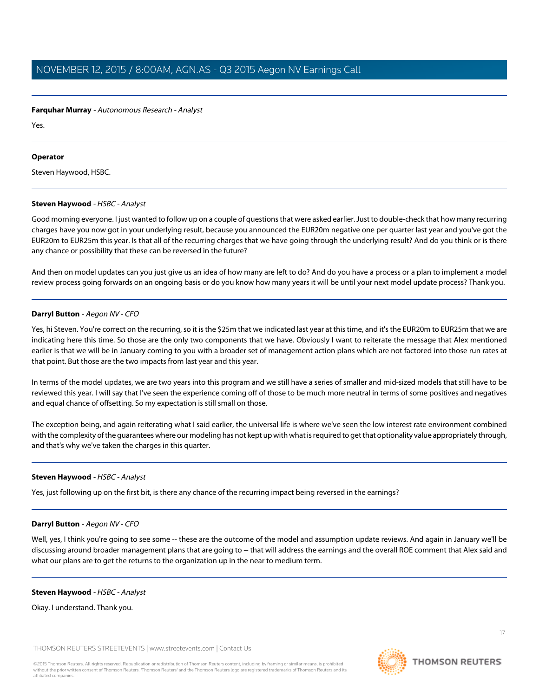### **Farquhar Murray** - Autonomous Research - Analyst

Yes.

# **Operator**

<span id="page-16-0"></span>Steven Haywood, HSBC.

# **Steven Haywood** - HSBC - Analyst

Good morning everyone. I just wanted to follow up on a couple of questions that were asked earlier. Just to double-check that how many recurring charges have you now got in your underlying result, because you announced the EUR20m negative one per quarter last year and you've got the EUR20m to EUR25m this year. Is that all of the recurring charges that we have going through the underlying result? And do you think or is there any chance or possibility that these can be reversed in the future?

And then on model updates can you just give us an idea of how many are left to do? And do you have a process or a plan to implement a model review process going forwards on an ongoing basis or do you know how many years it will be until your next model update process? Thank you.

# **Darryl Button** - Aegon NV - CFO

Yes, hi Steven. You're correct on the recurring, so it is the \$25m that we indicated last year at this time, and it's the EUR20m to EUR25m that we are indicating here this time. So those are the only two components that we have. Obviously I want to reiterate the message that Alex mentioned earlier is that we will be in January coming to you with a broader set of management action plans which are not factored into those run rates at that point. But those are the two impacts from last year and this year.

In terms of the model updates, we are two years into this program and we still have a series of smaller and mid-sized models that still have to be reviewed this year. I will say that I've seen the experience coming off of those to be much more neutral in terms of some positives and negatives and equal chance of offsetting. So my expectation is still small on those.

The exception being, and again reiterating what I said earlier, the universal life is where we've seen the low interest rate environment combined with the complexity of the guarantees where our modeling has not kept up with what is required to get that optionality value appropriately through, and that's why we've taken the charges in this quarter.

# **Steven Haywood** - HSBC - Analyst

Yes, just following up on the first bit, is there any chance of the recurring impact being reversed in the earnings?

# **Darryl Button** - Aegon NV - CFO

Well, yes, I think you're going to see some -- these are the outcome of the model and assumption update reviews. And again in January we'll be discussing around broader management plans that are going to -- that will address the earnings and the overall ROE comment that Alex said and what our plans are to get the returns to the organization up in the near to medium term.

# **Steven Haywood** - HSBC - Analyst

Okay. I understand. Thank you.